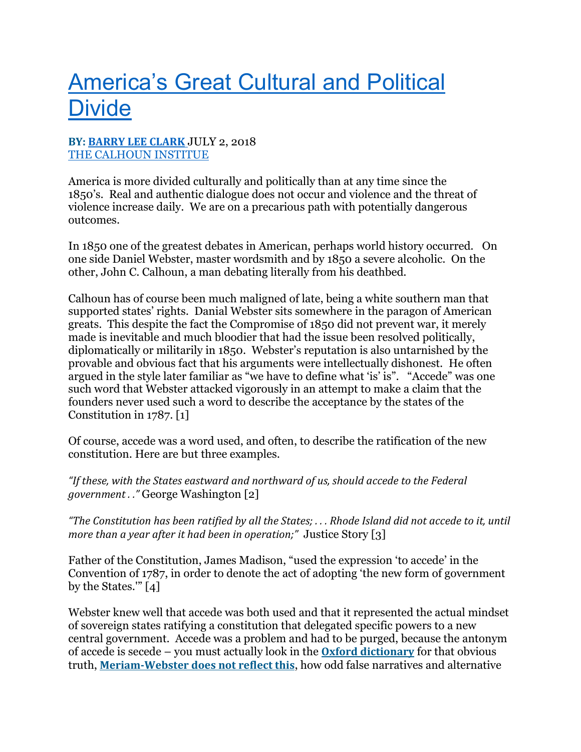## [America's Great Cultural and Political](http://www.calhouninstitute.com/americas-great-cultural-political-divide/)  [Divide](http://www.calhouninstitute.com/americas-great-cultural-political-divide/)

## **BY: [BARRY](http://www.calhouninstitute.com/about-barry-clark/) LEE CLARK** JULY 2, 2018 [THE CALHOUN INSTITUE](http://www.calhouninstitute.com/)

America is more divided culturally and politically than at any time since the 1850's. Real and authentic dialogue does not occur and violence and the threat of violence increase daily. We are on a precarious path with potentially dangerous outcomes.

In 1850 one of the greatest debates in American, perhaps world history occurred. On one side Daniel Webster, master wordsmith and by 1850 a severe alcoholic. On the other, John C. Calhoun, a man debating literally from his deathbed.

Calhoun has of course been much maligned of late, being a white southern man that supported states' rights. Danial Webster sits somewhere in the paragon of American greats. This despite the fact the Compromise of 1850 did not prevent war, it merely made is inevitable and much bloodier that had the issue been resolved politically, diplomatically or militarily in 1850. Webster's reputation is also untarnished by the provable and obvious fact that his arguments were intellectually dishonest. He often argued in the style later familiar as "we have to define what 'is' is". "Accede" was one such word that Webster attacked vigorously in an attempt to make a claim that the founders never used such a word to describe the acceptance by the states of the Constitution in 1787. [1]

Of course, accede was a word used, and often, to describe the ratification of the new constitution. Here are but three examples.

*"If these, with the States eastward and northward of us, should accede to the Federal government . ."* George Washington [2]

"The Constitution has been ratified by all the States; ... Rhode Island did not accede to it, until *more than a year after it had been in operation;"* Justice Story [3]

Father of the Constitution, James Madison, "used the expression 'to accede' in the Convention of 1787, in order to denote the act of adopting 'the new form of government by the States.'" [4]

Webster knew well that accede was both used and that it represented the actual mindset of sovereign states ratifying a constitution that delegated specific powers to a new central government. Accede was a problem and had to be purged, because the antonym of accede is secede – you must actually look in the **Oxford [dictionary](https://en.oxforddictionaries.com/thesaurus/accede)** for that obvious truth, **[Meriam-Webster](https://www.merriam-webster.com/thesaurus/accede) does not reflect this**, how odd false narratives and alternative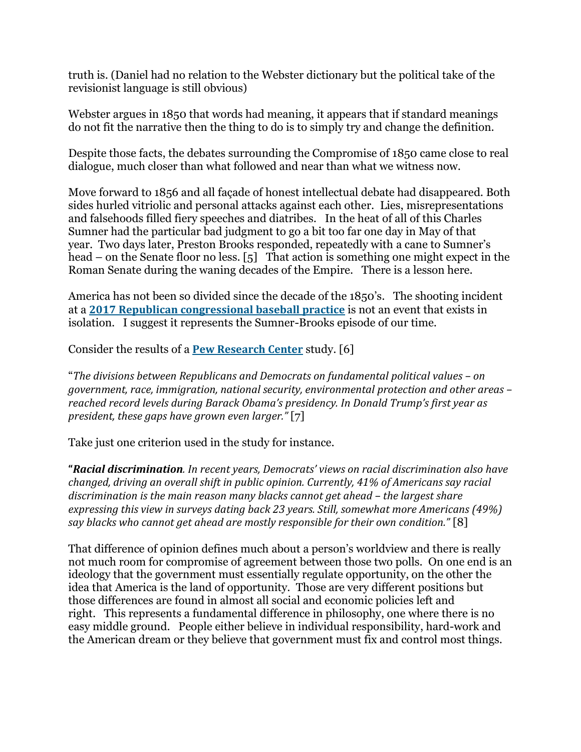truth is. (Daniel had no relation to the Webster dictionary but the political take of the revisionist language is still obvious)

Webster argues in 1850 that words had meaning, it appears that if standard meanings do not fit the narrative then the thing to do is to simply try and change the definition.

Despite those facts, the debates surrounding the Compromise of 1850 came close to real dialogue, much closer than what followed and near than what we witness now.

Move forward to 1856 and all façade of honest intellectual debate had disappeared. Both sides hurled vitriolic and personal attacks against each other. Lies, misrepresentations and falsehoods filled fiery speeches and diatribes. In the heat of all of this Charles Sumner had the particular bad judgment to go a bit too far one day in May of that year. Two days later, Preston Brooks responded, repeatedly with a cane to Sumner's head – on the Senate floor no less. [5] That action is something one might expect in the Roman Senate during the waning decades of the Empire. There is a lesson here.

America has not been so divided since the decade of the 1850's. The shooting incident at a **2017 Republican [congressional](https://en.wikipedia.org/wiki/2017_Congressional_baseball_shooting) baseball practice** is not an event that exists in isolation. I suggest it represents the Sumner-Brooks episode of our time.

Consider the results of a **Pew [Research](http://www.people-press.org/2017/10/05/the-partisan-divide-on-political-values-grows-even-wider/) Center** study. [6]

"*The divisions between Republicans and Democrats on fundamental political values – on government, race, immigration, national security, environmental protection and other areas – reached record levels during Barack Obama's presidency. In Donald Trump's first year as president, these gaps have grown even larger."* [7]

Take just one criterion used in the study for instance.

**"***Racial discrimination. In recent years, Democrats' views on racial discrimination also have changed, driving an overall shift in public opinion. Currently, 41% of Americans say racial discrimination is the main reason many blacks cannot get ahead – the largest share expressing this view in surveys dating back 23 years. Still, somewhat more Americans (49%) say blacks who cannot get ahead are mostly responsible for their own condition."* [8]

That difference of opinion defines much about a person's worldview and there is really not much room for compromise of agreement between those two polls. On one end is an ideology that the government must essentially regulate opportunity, on the other the idea that America is the land of opportunity. Those are very different positions but those differences are found in almost all social and economic policies left and right. This represents a fundamental difference in philosophy, one where there is no easy middle ground. People either believe in individual responsibility, hard-work and the American dream or they believe that government must fix and control most things.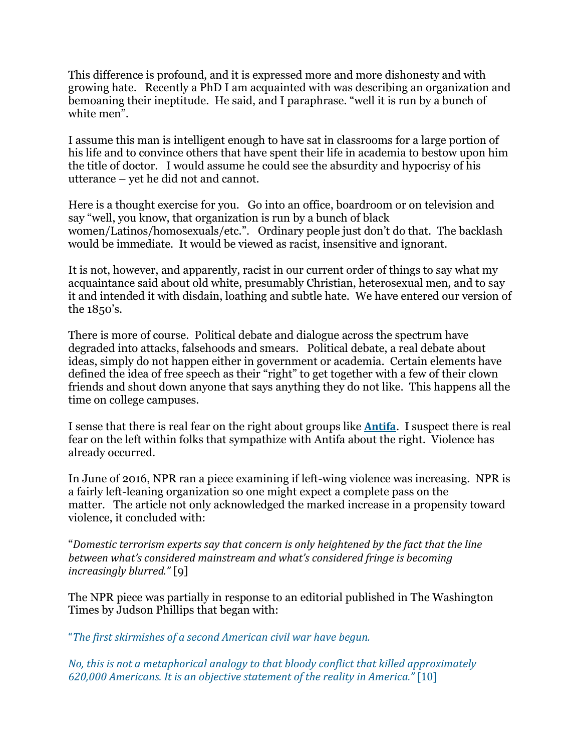This difference is profound, and it is expressed more and more dishonesty and with growing hate. Recently a PhD I am acquainted with was describing an organization and bemoaning their ineptitude. He said, and I paraphrase. "well it is run by a bunch of white men".

I assume this man is intelligent enough to have sat in classrooms for a large portion of his life and to convince others that have spent their life in academia to bestow upon him the title of doctor. I would assume he could see the absurdity and hypocrisy of his utterance – yet he did not and cannot.

Here is a thought exercise for you. Go into an office, boardroom or on television and say "well, you know, that organization is run by a bunch of black women/Latinos/homosexuals/etc.". Ordinary people just don't do that. The backlash would be immediate. It would be viewed as racist, insensitive and ignorant.

It is not, however, and apparently, racist in our current order of things to say what my acquaintance said about old white, presumably Christian, heterosexual men, and to say it and intended it with disdain, loathing and subtle hate. We have entered our version of the 1850's.

There is more of course. Political debate and dialogue across the spectrum have degraded into attacks, falsehoods and smears. Political debate, a real debate about ideas, simply do not happen either in government or academia. Certain elements have defined the idea of free speech as their "right" to get together with a few of their clown friends and shout down anyone that says anything they do not like. This happens all the time on college campuses.

I sense that there is real fear on the right about groups like **[Antifa](https://www.influencewatch.org/movement/antifa/)**. I suspect there is real fear on the left within folks that sympathize with Antifa about the right. Violence has already occurred.

In June of 2016, NPR ran a piece examining if left-wing violence was increasing. NPR is a fairly left-leaning organization so one might expect a complete pass on the matter. The article not only acknowledged the marked increase in a propensity toward violence, it concluded with:

"*Domestic terrorism experts say that concern is only heightened by the fact that the line between what's considered mainstream and what's considered fringe is becoming increasingly blurred."* [9]

The NPR piece was partially in response to an editorial published in The Washington Times by Judson Phillips that began with:

"*The first skirmishes of a second American civil war have begun.*

*No, this is not a metaphorical analogy to that bloody conflict that killed approximately 620,000 Americans. It is an objective statement of the reality in America."* [10]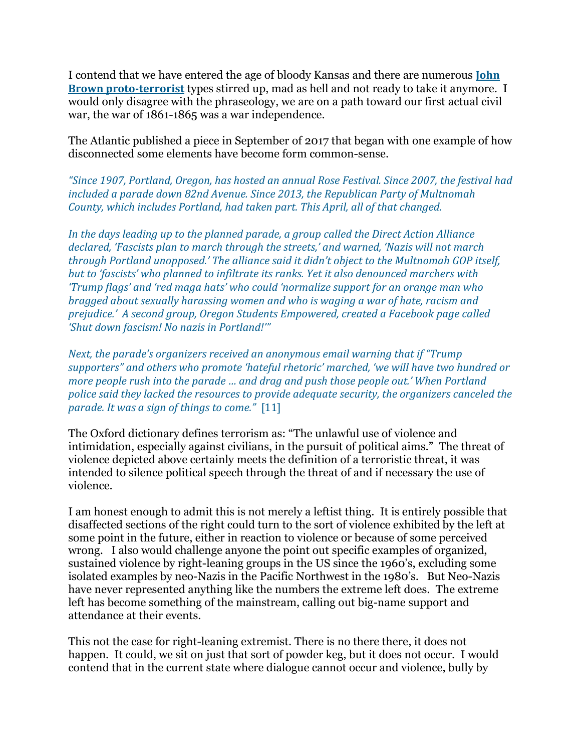I contend that we have entered the age of bloody Kansas and there are numerous **[John](https://www.researchgate.net/publication/293959200_John_Brown_Proto-Terrorist) Brown [proto-terrorist](https://www.researchgate.net/publication/293959200_John_Brown_Proto-Terrorist)** types stirred up, mad as hell and not ready to take it anymore. I would only disagree with the phraseology, we are on a path toward our first actual civil war, the war of 1861-1865 was a war independence.

The Atlantic published a piece in September of 2017 that began with one example of how disconnected some elements have become form common-sense.

*"Since 1907, Portland, Oregon, has hosted an annual Rose Festival. Since 2007, the festival had included a parade down 82nd Avenue. Since 2013, the Republican Party of Multnomah County, which includes Portland, had taken part. This April, all of that changed.*

*In the days leading up to the planned parade, a group called the Direct Action Alliance declared, 'Fascists plan to march through the streets,' and warned, 'Nazis will not march through Portland unopposed.' The alliance said it didn't object to the Multnomah GOP itself, but to 'fascists' who planned to infiltrate its ranks. Yet it also denounced marchers with 'Trump flags' and 'red maga hats' who could 'normalize support for an orange man who bragged about sexually harassing women and who is waging a war of hate, racism and prejudice.' A second group, Oregon Students Empowered, created a Facebook page called 'Shut down fascism! No nazis in Portland!'"*

*Next, the parade's organizers received an anonymous email warning that if "Trump supporters" and others who promote 'hateful rhetoric' marched, 'we will have two hundred or more people rush into the parade … and drag and push those people out.' When Portland police said they lacked the resources to provide adequate security, the organizers canceled the parade. It was a sign of things to come."* [11]

The Oxford dictionary defines terrorism as: "The unlawful use of violence and intimidation, especially against civilians, in the pursuit of political aims." The threat of violence depicted above certainly meets the definition of a terroristic threat, it was intended to silence political speech through the threat of and if necessary the use of violence.

I am honest enough to admit this is not merely a leftist thing. It is entirely possible that disaffected sections of the right could turn to the sort of violence exhibited by the left at some point in the future, either in reaction to violence or because of some perceived wrong. I also would challenge anyone the point out specific examples of organized, sustained violence by right-leaning groups in the US since the 1960's, excluding some isolated examples by neo-Nazis in the Pacific Northwest in the 1980's. But Neo-Nazis have never represented anything like the numbers the extreme left does. The extreme left has become something of the mainstream, calling out big-name support and attendance at their events.

This not the case for right-leaning extremist. There is no there there, it does not happen. It could, we sit on just that sort of powder keg, but it does not occur. I would contend that in the current state where dialogue cannot occur and violence, bully by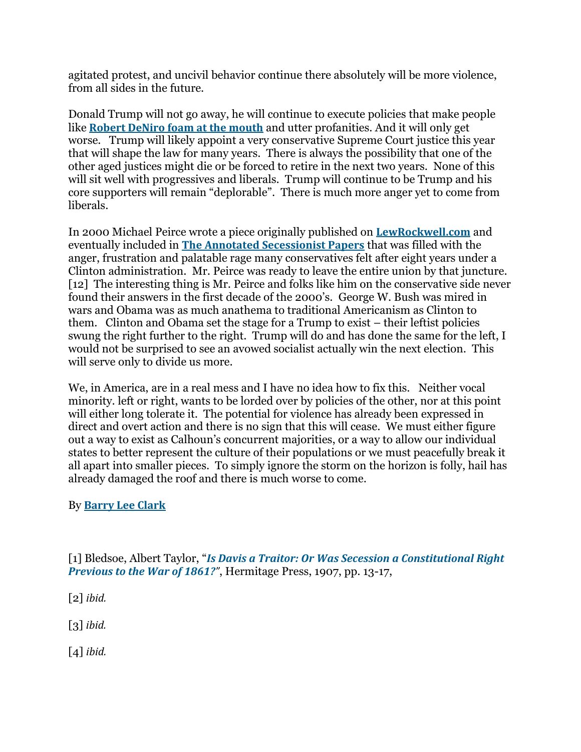agitated protest, and uncivil behavior continue there absolutely will be more violence, from all sides in the future.

Donald Trump will not go away, he will continue to execute policies that make people like **Robert [DeNiro](https://www.miamiherald.com/opinion/op-ed/article213057824.html) foam at the mouth** and utter profanities. And it will only get worse. Trump will likely appoint a very conservative Supreme Court justice this year that will shape the law for many years. There is always the possibility that one of the other aged justices might die or be forced to retire in the next two years. None of this will sit well with progressives and liberals. Trump will continue to be Trump and his core supporters will remain "deplorable". There is much more anger yet to come from liberals.

In 2000 Michael Peirce wrote a piece originally published on **[LewRockwell.com](https://www.lewrockwell.com/)** and eventually included in **The Annotated [Secessionist](https://www.amazon.com/Annotated-Secessionist-Papers-Barry-Clark) Papers** that was filled with the anger, frustration and palatable rage many conservatives felt after eight years under a Clinton administration. Mr. Peirce was ready to leave the entire union by that juncture. [12] The interesting thing is Mr. Peirce and folks like him on the conservative side never found their answers in the first decade of the 2000's. George W. Bush was mired in wars and Obama was as much anathema to traditional Americanism as Clinton to them. Clinton and Obama set the stage for a Trump to exist – their leftist policies swung the right further to the right. Trump will do and has done the same for the left, I would not be surprised to see an avowed socialist actually win the next election. This will serve only to divide us more.

We, in America, are in a real mess and I have no idea how to fix this. Neither vocal minority. left or right, wants to be lorded over by policies of the other, nor at this point will either long tolerate it. The potential for violence has already been expressed in direct and overt action and there is no sign that this will cease. We must either figure out a way to exist as Calhoun's concurrent majorities, or a way to allow our individual states to better represent the culture of their populations or we must peacefully break it all apart into smaller pieces. To simply ignore the storm on the horizon is folly, hail has already damaged the roof and there is much worse to come.

## By **[Barry](https://plus.google.com/u/0/+BarryClarkl) Lee Clark**

[1] Bledsoe, Albert Taylor, "*Is Davis a Traitor: Or Was Secession a [Constitutional](https://books.google.com/books?id=q_M9AAAAIAAJ&pg) Right [Previous](https://books.google.com/books?id=q_M9AAAAIAAJ&pg) to the War of 1861?"*, Hermitage Press, 1907, pp. 13-17,

[2] *ibid.*

[3] *ibid.*

[4] *ibid.*